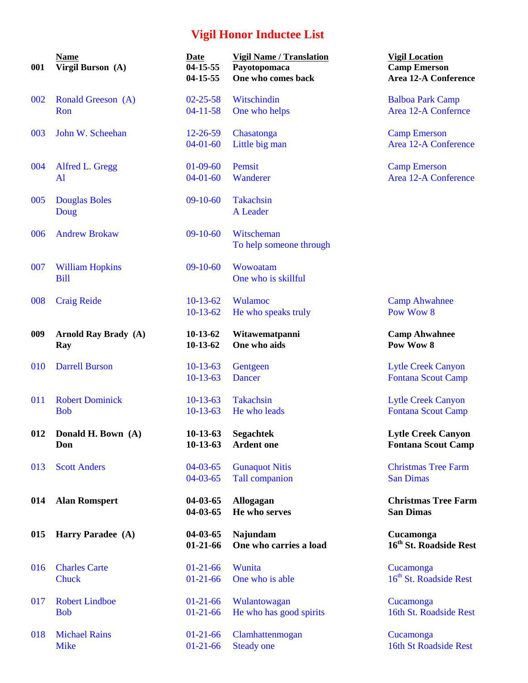| 001 | <b>Name</b><br>Virgil Burson (A)   | Date<br>$04 - 15 - 55$<br>$04 - 15 - 55$ | <b>Vigil Name / Translation</b><br>Payotopomaca<br>One who comes back | <b>Vigil Location</b><br><b>Camp Emerson</b><br><b>Area 12-A Conference</b> |
|-----|------------------------------------|------------------------------------------|-----------------------------------------------------------------------|-----------------------------------------------------------------------------|
| 002 | Ronald Greeson (A)                 | $02 - 25 - 58$                           | Witschindin                                                           | <b>Balboa Park Camp</b>                                                     |
|     | Ron                                | $04 - 11 - 58$                           | One who helps                                                         | Area 12-A Confernce                                                         |
| 003 | John W. Scheehan                   | $12 - 26 - 59$                           | Chasatonga                                                            | <b>Camp Emerson</b>                                                         |
|     |                                    | $04-01-60$                               | Little big man                                                        | <b>Area 12-A Conference</b>                                                 |
| 004 | Alfred L. Gregg                    | $01 - 09 - 60$                           | Pemsit                                                                | <b>Camp Emerson</b>                                                         |
|     | Al                                 | $04 - 01 - 60$                           | Wanderer                                                              | <b>Area 12-A Conference</b>                                                 |
| 005 | <b>Douglas Boles</b>               | $09-10-60$                               | <b>Takachsin</b>                                                      |                                                                             |
|     | Doug                               |                                          | A Leader                                                              |                                                                             |
| 006 | <b>Andrew Brokaw</b>               | $09-10-60$                               | Witscheman                                                            |                                                                             |
|     |                                    |                                          | To help someone through                                               |                                                                             |
| 007 | <b>William Hopkins</b>             | $09-10-60$                               | Wowoatam                                                              |                                                                             |
|     | <b>Bill</b>                        |                                          | One who is skillful                                                   |                                                                             |
| 008 | <b>Craig Reide</b>                 | $10-13-62$                               | <b>Wulamoc</b>                                                        | <b>Camp Ahwahnee</b>                                                        |
|     |                                    | $10-13-62$                               | He who speaks truly                                                   | Pow Wow 8                                                                   |
| 009 | <b>Arnold Ray Brady</b> (A)<br>Ray | $10-13-62$<br>$10-13-62$                 | Witawematpanni<br>One who aids                                        | <b>Camp Ahwahnee</b><br>Pow Wow 8                                           |
| 010 | <b>Darrell Burson</b>              | $10-13-63$                               | Gentgeen                                                              | <b>Lytle Creek Canyon</b>                                                   |
|     |                                    | $10-13-63$                               | <b>Dancer</b>                                                         | <b>Fontana Scout Camp</b>                                                   |
| 011 | <b>Robert Dominick</b>             | $10-13-63$                               | <b>Takachsin</b>                                                      | <b>Lytle Creek Canyon</b>                                                   |
|     | <b>Bob</b>                         | $10-13-63$                               | He who leads                                                          | <b>Fontana Scout Camp</b>                                                   |
| 012 | Donald H. Bown (A)<br>Don          | $10-13-63$<br>$10-13-63$                 | <b>Segachtek</b><br><b>Ardent</b> one                                 | <b>Lytle Creek Canyon</b><br><b>Fontana Scout Camp</b>                      |
| 013 | <b>Scott Anders</b>                | $04 - 03 - 65$                           | <b>Gunaquot Nitis</b>                                                 | <b>Christmas Tree Farm</b>                                                  |
|     |                                    | $04 - 03 - 65$                           | <b>Tall companion</b>                                                 | <b>San Dimas</b>                                                            |
| 014 | <b>Alan Romspert</b>               | $04 - 03 - 65$                           | <b>Allogagan</b>                                                      | <b>Christmas Tree Farm</b>                                                  |
|     |                                    | $04 - 03 - 65$                           | He who serves                                                         | <b>San Dimas</b>                                                            |
| 015 | Harry Paradee (A)                  | $04 - 03 - 65$<br>$01-21-66$             | Najundam<br>One who carries a load                                    | Cucamonga<br>16 <sup>th</sup> St. Roadside Rest                             |
| 016 | <b>Charles Carte</b>               | $01-21-66$                               | Wunita                                                                | Cucamonga                                                                   |
|     | Chuck                              | $01-21-66$                               | One who is able                                                       | 16 <sup>th</sup> St. Roadside Rest                                          |
| 017 | <b>Robert Lindboe</b>              | $01-21-66$                               | Wulantowagan                                                          | Cucamonga                                                                   |
|     | <b>Bob</b>                         | $01-21-66$                               | He who has good spirits                                               | 16th St. Roadside Rest                                                      |
| 018 | <b>Michael Rains</b>               | $01-21-66$                               | Clamhattenmogan                                                       | Cucamonga                                                                   |
|     | <b>Mike</b>                        | $01-21-66$                               | <b>Steady one</b>                                                     | 16th St Roadside Rest                                                       |

| Date<br>$04 - 15 - 55$<br>04-15-55 | <b>Vigil Name / Translation</b><br>Payotopomaca<br>One who comes back | <b>Vigil Location</b><br><b>Camp Emerson</b><br><b>Area 12-A Conference</b> |
|------------------------------------|-----------------------------------------------------------------------|-----------------------------------------------------------------------------|
| $02 - 25 - 58$                     | Witschindin                                                           | <b>Balboa Park Camp</b>                                                     |
| $04-11-58$                         | One who helps                                                         | <b>Area 12-A Confernce</b>                                                  |
| 12-26-59                           | Chasatonga                                                            | <b>Camp Emerson</b>                                                         |
| $04-01-60$                         | Little big man                                                        | Area 12-A Conference                                                        |
| 01-09-60                           | Pemsit                                                                | <b>Camp Emerson</b>                                                         |
| $04-01-60$                         | Wanderer                                                              | <b>Area 12-A Conference</b>                                                 |
| $09-10-60$                         | <b>Takachsin</b><br><b>A</b> Leader                                   |                                                                             |
| $09-10-60$                         | Witscheman<br>To help someone through                                 |                                                                             |
| $09-10-60$                         | Wowoatam<br>One who is skillful                                       |                                                                             |
| $10-13-62$                         | Wulamoc                                                               | <b>Camp Ahwahnee</b>                                                        |
| $10-13-62$                         | He who speaks truly                                                   | Pow Wow 8                                                                   |
| 10-13-62<br>$10-13-62$             | Witawematpanni<br>One who aids                                        | <b>Camp Ahwahnee</b><br>Pow Wow 8                                           |
| $10-13-63$                         | Gentgeen                                                              | <b>Lytle Creek Canyon</b>                                                   |
| $10-13-63$                         | <b>Dancer</b>                                                         | <b>Fontana Scout Camp</b>                                                   |
| $10-13-63$                         | <b>Takachsin</b>                                                      | <b>Lytle Creek Canyon</b>                                                   |
| $10-13-63$                         | He who leads                                                          | <b>Fontana Scout Camp</b>                                                   |
| $10-13-63$                         | Segachtek                                                             | <b>Lytle Creek Canyon</b>                                                   |
| $10-13-63$                         | <b>Ardent</b> one                                                     | <b>Fontana Scout Camp</b>                                                   |
| 04-03-65                           | <b>Gunaquot Nitis</b>                                                 | <b>Christmas Tree Farm</b>                                                  |
| $04 - 03 - 65$                     | <b>Tall companion</b>                                                 | <b>San Dimas</b>                                                            |
| 04-03-65<br>$04 - 03 - 65$         | <b>Allogagan</b><br>He who serves                                     | <b>Christmas Tree Farm</b><br><b>San Dimas</b>                              |
| 04-03-65<br>01-21-66               | <b>Najundam</b><br>One who carries a load                             | Cucamonga<br>16 <sup>th</sup> St. Roadside Rest                             |
| 01-21-66                           | Wunita                                                                | Cucamonga                                                                   |
| $01-21-66$                         | One who is able                                                       | 16 <sup>th</sup> St. Roadside Rest                                          |
|                                    |                                                                       |                                                                             |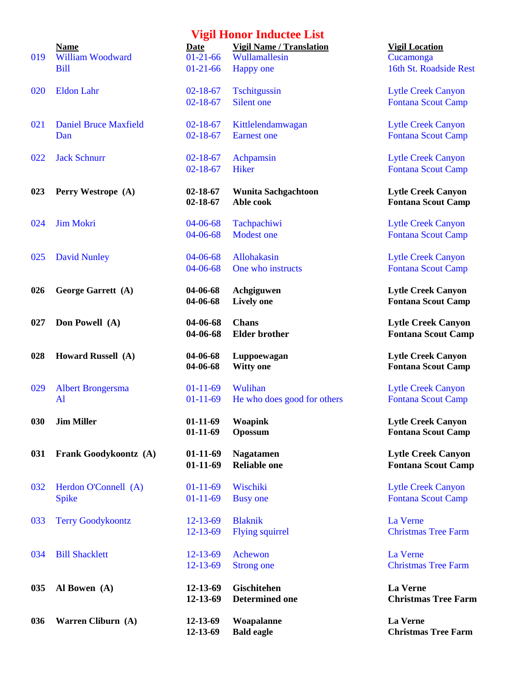| 019 | <b>Name</b><br><b>William Woodward</b><br><b>Bill</b> | Date<br>$01-21-66$<br>$01-21-66$ | <b>Vigil Name / Translation</b><br>Wullamallesin | <b>Vigil Loca</b><br>Cucamong<br>16th St. R |
|-----|-------------------------------------------------------|----------------------------------|--------------------------------------------------|---------------------------------------------|
| 020 | <b>Eldon Lahr</b>                                     | $02 - 18 - 67$                   | <b>Happy</b> one<br>Tschitgussin                 | <b>Lytle Cree</b>                           |
|     |                                                       | $02 - 18 - 67$                   | Silent one                                       | <b>Fontana S</b>                            |
| 021 | <b>Daniel Bruce Maxfield</b><br>Dan                   | $02 - 18 - 67$<br>$02 - 18 - 67$ | Kittlelendamwagan<br><b>Earnest</b> one          | <b>Lytle Cree</b><br><b>Fontana S</b>       |
| 022 | <b>Jack Schnurr</b>                                   | $02 - 18 - 67$<br>$02 - 18 - 67$ | Achpamsin<br>Hiker                               | Lytle Cree<br><b>Fontana S</b>              |
| 023 | Perry Westrope (A)                                    | $02 - 18 - 67$<br>$02 - 18 - 67$ | <b>Wunita Sachgachtoon</b><br>Able cook          | <b>Lytle Cre</b><br><b>Fontana</b>          |
| 024 | <b>Jim Mokri</b>                                      | 04-06-68<br>04-06-68             | Tachpachiwi<br><b>Modest one</b>                 | <b>Lytle Cree</b><br><b>Fontana S</b>       |
| 025 | <b>David Nunley</b>                                   | 04-06-68<br>04-06-68             | Allohakasin<br>One who instructs                 | <b>Lytle Cree</b><br><b>Fontana S</b>       |
| 026 | George Garrett (A)                                    | 04-06-68<br>04-06-68             | Achgiguwen<br><b>Lively one</b>                  | <b>Lytle Cre</b><br><b>Fontana</b> S        |
| 027 | Don Powell (A)                                        | 04-06-68<br>04-06-68             | <b>Chans</b><br><b>Elder</b> brother             | <b>Lytle Cre</b><br><b>Fontana</b>          |
| 028 | Howard Russell (A)                                    | 04-06-68<br>04-06-68             | Luppoewagan<br><b>Witty one</b>                  | <b>Lytle Cre</b><br><b>Fontana</b> S        |
| 029 | <b>Albert Brongersma</b><br>Al                        | $01-11-69$<br>$01-11-69$         | Wulihan<br>He who does good for others           | <b>Lytle Cree</b><br><b>Fontana S</b>       |
| 030 | <b>Jim Miller</b>                                     | $01-11-69$<br>$01-11-69$         | <b>Woapink</b><br>Opossum                        | <b>Lytle Cre</b><br><b>Fontana</b> S        |
| 031 | Frank Goodykoontz (A)                                 | $01-11-69$<br>$01-11-69$         | <b>Nagatamen</b><br><b>Reliable one</b>          | <b>Lytle Cre</b><br><b>Fontana</b>          |
| 032 | Herdon O'Connell (A)<br><b>Spike</b>                  | $01-11-69$<br>$01 - 11 - 69$     | Wischiki<br><b>Busy</b> one                      | Lytle Cree<br><b>Fontana S</b>              |
| 033 | <b>Terry Goodykoontz</b>                              | $12 - 13 - 69$<br>$12 - 13 - 69$ | <b>Blaknik</b><br><b>Flying squirrel</b>         | La Verne<br><b>Christmas</b>                |
| 034 | <b>Bill Shacklett</b>                                 | $12 - 13 - 69$<br>$12 - 13 - 69$ | Achewon<br><b>Strong one</b>                     | La Verne<br>Christmas                       |
| 035 | Al Bowen (A)                                          | 12-13-69<br>12-13-69             | Gischitehen<br><b>Determined one</b>             | La Verne<br>Christma                        |
| 036 | Warren Cliburn (A)                                    | 12-13-69<br>12.13.60             | Woapalanne<br>Rold oggle                         | La Verne<br>Christma                        |

| , , , , , , , , ,<br><b>Date</b> | <b>Vigil Name / Translation</b>         | <b>Vigil Location</b>                                  |
|----------------------------------|-----------------------------------------|--------------------------------------------------------|
| $01-21-66$                       | Wullamallesin                           | Cucamonga                                              |
| $01-21-66$                       | <b>Happy</b> one                        | 16th St. Roadside Rest                                 |
|                                  |                                         |                                                        |
| $02 - 18 - 67$                   | Tschitgussin                            | <b>Lytle Creek Canyon</b>                              |
| $02 - 18 - 67$                   | Silent one                              | <b>Fontana Scout Camp</b>                              |
| $02 - 18 - 67$                   | Kittlelendamwagan                       | <b>Lytle Creek Canyon</b>                              |
| $02 - 18 - 67$                   | <b>Earnest</b> one                      | <b>Fontana Scout Camp</b>                              |
|                                  |                                         |                                                        |
| $02 - 18 - 67$                   | Achpamsin                               | <b>Lytle Creek Canyon</b>                              |
| $02 - 18 - 67$                   | <b>Hiker</b>                            | <b>Fontana Scout Camp</b>                              |
|                                  |                                         |                                                        |
| $02 - 18 - 67$<br>$02 - 18 - 67$ | <b>Wunita Sachgachtoon</b><br>Able cook | <b>Lytle Creek Canyon</b><br><b>Fontana Scout Camp</b> |
|                                  |                                         |                                                        |
| 04-06-68                         | Tachpachiwi                             | <b>Lytle Creek Canyon</b>                              |
| 04-06-68                         | <b>Modest one</b>                       | <b>Fontana Scout Camp</b>                              |
|                                  |                                         |                                                        |
| 04-06-68                         | <b>Allohakasin</b>                      | <b>Lytle Creek Canyon</b>                              |
| 04-06-68                         | One who instructs                       | <b>Fontana Scout Camp</b>                              |
|                                  |                                         |                                                        |
| 04-06-68                         | Achgiguwen                              | <b>Lytle Creek Canyon</b>                              |
| 04-06-68                         | <b>Lively one</b>                       | <b>Fontana Scout Camp</b>                              |
| 04-06-68                         | <b>Chans</b>                            | <b>Lytle Creek Canyon</b>                              |
| 04-06-68                         | <b>Elder brother</b>                    | <b>Fontana Scout Camp</b>                              |
| 04-06-68                         | Luppoewagan                             | <b>Lytle Creek Canyon</b>                              |
| 04-06-68                         | <b>Witty one</b>                        | <b>Fontana Scout Camp</b>                              |
|                                  |                                         |                                                        |
| $01-11-69$                       | Wulihan                                 | <b>Lytle Creek Canyon</b>                              |
| $01-11-69$                       | He who does good for others             | <b>Fontana Scout Camp</b>                              |
| $01-11-69$                       | Woapink                                 | <b>Lytle Creek Canyon</b>                              |
| $01-11-69$                       | <b>Opossum</b>                          | <b>Fontana Scout Camp</b>                              |
| $01-11-69$                       | <b>Nagatamen</b>                        | <b>Lytle Creek Canyon</b>                              |
| $01-11-69$                       | <b>Reliable one</b>                     | <b>Fontana Scout Camp</b>                              |
|                                  |                                         |                                                        |
| $01 - 11 - 69$                   | Wischiki                                | <b>Lytle Creek Canyon</b>                              |
| $01-11-69$                       | <b>Busy</b> one                         | <b>Fontana Scout Camp</b>                              |
|                                  |                                         |                                                        |
| $12 - 13 - 69$                   | <b>Blaknik</b>                          | La Verne                                               |
| 12-13-69                         | <b>Flying squirrel</b>                  | <b>Christmas Tree Farm</b>                             |
| $12 - 13 - 69$                   | Achewon                                 | La Verne                                               |
| 12-13-69                         | <b>Strong one</b>                       | <b>Christmas Tree Farm</b>                             |
|                                  |                                         |                                                        |
| 12-13-69                         | <b>Gischitehen</b>                      | <b>La Verne</b>                                        |
| 12-13-69                         | <b>Determined one</b>                   | <b>Christmas Tree Farm</b>                             |
|                                  |                                         |                                                        |
| 12-13-69<br>12-13-69             | Woapalanne<br><b>Bald eagle</b>         | <b>La Verne</b><br><b>Christmas Tree Farm</b>          |
|                                  |                                         |                                                        |

# **Name** *Date**Date**Digil Location*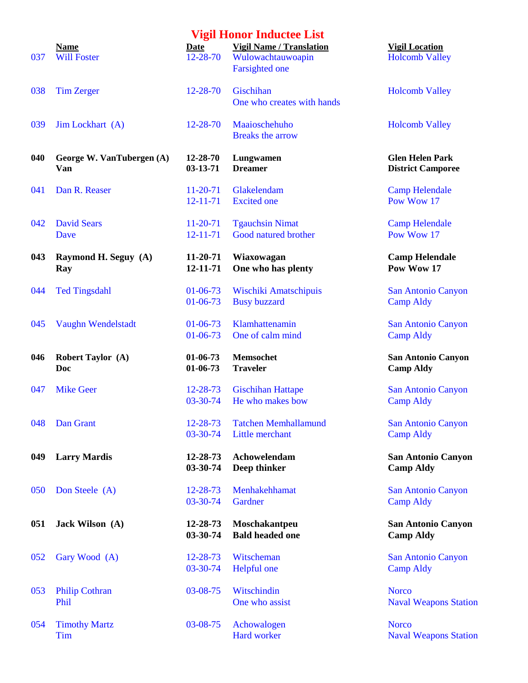|     |                                        |                                  | <b>Vigil Honor Inductee List</b>                                              |                                                    |
|-----|----------------------------------------|----------------------------------|-------------------------------------------------------------------------------|----------------------------------------------------|
| 037 | <b>Name</b><br><b>Will Foster</b>      | <b>Date</b><br>12-28-70          | <b>Vigil Name / Translation</b><br>Wulowachtauwoapin<br><b>Farsighted one</b> | <b>Vigil Location</b><br><b>Holcomb Valley</b>     |
| 038 | <b>Tim Zerger</b>                      | 12-28-70                         | Gischihan<br>One who creates with hands                                       | <b>Holcomb Valley</b>                              |
| 039 | Jim Lockhart (A)                       | $12 - 28 - 70$                   | Maaioschehuho<br><b>Breaks the arrow</b>                                      | <b>Holcomb Valley</b>                              |
| 040 | George W. VanTubergen (A)<br>Van       | 12-28-70<br>$03 - 13 - 71$       | Lungwamen<br><b>Dreamer</b>                                                   | <b>Glen Helen Park</b><br><b>District Camporee</b> |
| 041 | Dan R. Reaser                          | $11-20-71$<br>$12 - 11 - 71$     | Glakelendam<br><b>Excited</b> one                                             | <b>Camp Helendale</b><br>Pow Wow 17                |
| 042 | <b>David Sears</b><br>Dave             | $11-20-71$<br>$12 - 11 - 71$     | <b>Tgauchsin Nimat</b><br>Good natured brother                                | <b>Camp Helendale</b><br>Pow Wow 17                |
| 043 | Raymond H. Seguy (A)<br>Ray            | $11-20-71$<br>12-11-71           | Wiaxowagan<br>One who has plenty                                              | <b>Camp Helendale</b><br>Pow Wow 17                |
| 044 | <b>Ted Tingsdahl</b>                   | $01 - 06 - 73$<br>$01 - 06 - 73$ | Wischiki Amatschipuis<br><b>Busy buzzard</b>                                  | <b>San Antonio Canyon</b><br><b>Camp Aldy</b>      |
| 045 | Vaughn Wendelstadt                     | $01 - 06 - 73$<br>$01 - 06 - 73$ | Klamhattenamin<br>One of calm mind                                            | San Antonio Canyon<br><b>Camp Aldy</b>             |
| 046 | <b>Robert Taylor (A)</b><br><b>Doc</b> | $01-06-73$<br>$01-06-73$         | <b>Memsochet</b><br><b>Traveler</b>                                           | <b>San Antonio Canyon</b><br><b>Camp Aldy</b>      |
| 047 | <b>Mike Geer</b>                       | 12-28-73<br>03-30-74             | <b>Gischihan Hattape</b><br>He who makes bow                                  | San Antonio Canyon<br><b>Camp Aldy</b>             |
| 048 | Dan Grant                              | 12-28-73<br>03-30-74             | <b>Tatchen Memhallamund</b><br>Little merchant                                | <b>San Antonio Canyon</b><br><b>Camp Aldy</b>      |
| 049 | <b>Larry Mardis</b>                    | 12-28-73<br>03-30-74             | Achowelendam<br>Deep thinker                                                  | <b>San Antonio Canyon</b><br><b>Camp Aldy</b>      |
| 050 | Don Steele (A)                         | 12-28-73<br>03-30-74             | Menhakehhamat<br>Gardner                                                      | <b>San Antonio Canyon</b><br><b>Camp Aldy</b>      |
| 051 | Jack Wilson (A)                        | 12-28-73<br>03-30-74             | Moschakantpeu<br><b>Bald headed one</b>                                       | <b>San Antonio Canyon</b><br><b>Camp Aldy</b>      |
| 052 | Gary Wood (A)                          | 12-28-73<br>03-30-74             | Witscheman<br>Helpful one                                                     | San Antonio Canyon<br><b>Camp Aldy</b>             |
| 053 | <b>Philip Cothran</b><br>Phil          | 03-08-75                         | Witschindin<br>One who assist                                                 | <b>Norco</b><br><b>Naval Weapons Statio</b>        |
| 054 | <b>Timothy Martz</b><br>Tim            | 03-08-75                         | Achowalogen<br>Hard worker                                                    | <b>Norco</b><br><b>Naval Weapons Static</b>        |

|                | <b>Vigil Honor Inductee List</b>         |                                              |
|----------------|------------------------------------------|----------------------------------------------|
| Date           | <b>Vigil Name / Translation</b>          | <b>Vigil Location</b>                        |
| 12-28-70       | Wulowachtauwoapin                        | <b>Holcomb Valley</b>                        |
|                | <b>Farsighted one</b>                    |                                              |
| 12-28-70       | Gischihan<br>One who creates with hands  | <b>Holcomb Valley</b>                        |
| 12-28-70       | Maaioschehuho<br><b>Breaks the arrow</b> | <b>Holcomb Valley</b>                        |
| 12-28-70       | Lungwamen                                | <b>Glen Helen Park</b>                       |
| 03-13-71       | <b>Dreamer</b>                           | <b>District Camporee</b>                     |
| 11-20-71       | Glakelendam                              | <b>Camp Helendale</b>                        |
| $12 - 11 - 71$ | <b>Excited</b> one                       | Pow Wow 17                                   |
| 11-20-71       | <b>Tgauchsin Nimat</b>                   | <b>Camp Helendale</b>                        |
| $12 - 11 - 71$ | Good natured brother                     | Pow Wow 17                                   |
| 11-20-71       | Wiaxowagan                               | <b>Camp Helendale</b>                        |
| 12-11-71       | One who has plenty                       | Pow Wow 17                                   |
| 01-06-73       | Wischiki Amatschipuis                    | San Antonio Canyon                           |
| 01-06-73       | <b>Busy buzzard</b>                      | <b>Camp Aldy</b>                             |
| 01-06-73       | Klamhattenamin                           | San Antonio Canyon                           |
| $01-06-73$     | One of calm mind                         | <b>Camp Aldy</b>                             |
| 01-06-73       | <b>Memsochet</b>                         | <b>San Antonio Canyon</b>                    |
| 01-06-73       | <b>Traveler</b>                          | <b>Camp Aldy</b>                             |
| 12-28-73       | <b>Gischihan Hattape</b>                 | San Antonio Canyon                           |
| 03-30-74       | He who makes bow                         | <b>Camp Aldy</b>                             |
| $12 - 28 - 73$ | <b>Tatchen Memhallamund</b>              | San Antonio Canyon                           |
| 03-30-74       | Little merchant                          | <b>Camp Aldy</b>                             |
| 12-28-73       | Achowelendam                             | <b>San Antonio Canyon</b>                    |
| 03-30-74       | Deep thinker                             | <b>Camp Aldy</b>                             |
| 12-28-73       | Menhakehhamat                            | San Antonio Canyon                           |
| 03-30-74       | Gardner                                  | <b>Camp Aldy</b>                             |
| 12-28-73       | Moschakantpeu                            | <b>San Antonio Canyon</b>                    |
| 03-30-74       | <b>Bald headed one</b>                   | <b>Camp Aldy</b>                             |
| $12 - 28 - 73$ | Witscheman                               | San Antonio Canyon                           |
| 03-30-74       | <b>Helpful</b> one                       | <b>Camp Aldy</b>                             |
| 03-08-75       | Witschindin<br>One who assist            | <b>Norco</b><br><b>Naval Weapons Station</b> |

**Naval Weapons Station**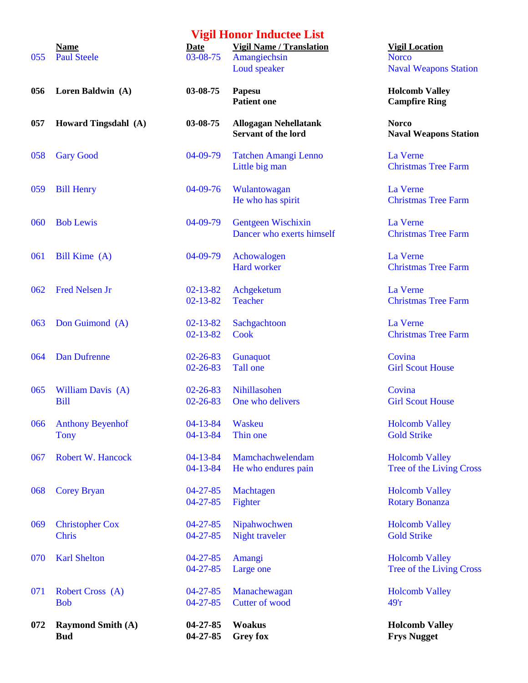|     |                                        |                                  | <b>Vigil Honor Inductee List</b>                                |                                                             |
|-----|----------------------------------------|----------------------------------|-----------------------------------------------------------------|-------------------------------------------------------------|
| 055 | <b>Name</b><br><b>Paul Steele</b>      | Date<br>03-08-75                 | <b>Vigil Name / Translation</b><br>Amangiechsin<br>Loud speaker | <b>Vigil Location</b><br><b>Norco</b><br><b>Naval Weapo</b> |
| 056 | Loren Baldwin (A)                      | 03-08-75                         | Papesu<br><b>Patient one</b>                                    | <b>Holcomb Vall</b><br><b>Campfire Rin</b>                  |
| 057 | Howard Tingsdahl (A)                   | 03-08-75                         | <b>Allogagan Nehellatank</b><br><b>Servant of the lord</b>      | <b>Norco</b><br><b>Naval Weapo</b>                          |
| 058 | <b>Gary Good</b>                       | 04-09-79                         | <b>Tatchen Amangi Lenno</b><br>Little big man                   | La Verne<br><b>Christmas Tre</b>                            |
| 059 | <b>Bill Henry</b>                      | $04-09-76$                       | Wulantowagan<br>He who has spirit                               | La Verne<br><b>Christmas Tre</b>                            |
| 060 | <b>Bob Lewis</b>                       | 04-09-79                         | <b>Gentgeen Wischixin</b><br>Dancer who exerts himself          | La Verne<br><b>Christmas Tre</b>                            |
| 061 | Bill Kime (A)                          | 04-09-79                         | Achowalogen<br><b>Hard worker</b>                               | La Verne<br><b>Christmas Tre</b>                            |
| 062 | <b>Fred Nelsen Jr</b>                  | $02 - 13 - 82$<br>$02 - 13 - 82$ | Achgeketum<br><b>Teacher</b>                                    | La Verne<br><b>Christmas Tre</b>                            |
| 063 | Don Guimond (A)                        | $02 - 13 - 82$<br>$02 - 13 - 82$ | Sachgachtoon<br>Cook                                            | La Verne<br><b>Christmas Tre</b>                            |
| 064 | <b>Dan Dufrenne</b>                    | $02 - 26 - 83$<br>$02 - 26 - 83$ | Gunaquot<br>Tall one                                            | Covina<br><b>Girl Scout Ho</b>                              |
| 065 | William Davis (A)<br><b>Bill</b>       | $02 - 26 - 83$<br>$02 - 26 - 83$ | Nihillasohen<br>One who delivers                                | Covina<br><b>Girl Scout Ho</b>                              |
| 066 | <b>Anthony Beyenhof</b><br><b>Tony</b> | $04 - 13 - 84$<br>$04 - 13 - 84$ | Waskeu<br>Thin one                                              | <b>Holcomb Val</b><br><b>Gold Strike</b>                    |
| 067 | <b>Robert W. Hancock</b>               | $04 - 13 - 84$<br>$04 - 13 - 84$ | Mamchachwelendam<br>He who endures pain                         | <b>Holcomb Val</b><br>Tree of the Li                        |
| 068 | <b>Corey Bryan</b>                     | $04 - 27 - 85$<br>$04 - 27 - 85$ | Machtagen<br>Fighter                                            | <b>Holcomb Val</b><br><b>Rotary Bonan</b>                   |
| 069 | <b>Christopher Cox</b><br><b>Chris</b> | $04 - 27 - 85$<br>$04 - 27 - 85$ | Nipahwochwen<br>Night traveler                                  | <b>Holcomb Val</b><br><b>Gold Strike</b>                    |
| 070 | <b>Karl Shelton</b>                    | $04 - 27 - 85$<br>$04 - 27 - 85$ | Amangi<br>Large one                                             | <b>Holcomb Val</b><br>Tree of the Li                        |
| 071 | <b>Robert Cross</b> (A)<br><b>Bob</b>  | $04 - 27 - 85$<br>$04 - 27 - 85$ | Manachewagan<br><b>Cutter of wood</b>                           | <b>Holcomb Vall</b><br>49'r                                 |
| 072 | <b>Raymond Smith (A)</b><br><b>Bud</b> | $04 - 27 - 85$<br>04-27-85       | <b>Woakus</b><br><b>Grey fox</b>                                | <b>Holcomb Val</b><br><b>Frys Nugget</b>                    |

**<u>Vigil Location</u> Naval Weapons Station** 

**Holcomb Valley Campfire Ring** 

**Naval Weapons Station** 

Christmas Tree Farm

Christmas Tree Farm

Christmas Tree Farm

Christmas Tree Farm

Christmas Tree Farm

Christmas Tree Farm

**Girl Scout House** 

**Girl Scout House** 

Holcomb Valley

Holcomb Valley Tree of the Living Cross

Holcomb Valley Rotary Bonanza

Holcomb Valley Gold Strike

Holcomb Valley Tree of the Living Cross

Holcomb Valley

**072 Raymond Smith (A) 04-27-85 Woakus Holcomb Valley**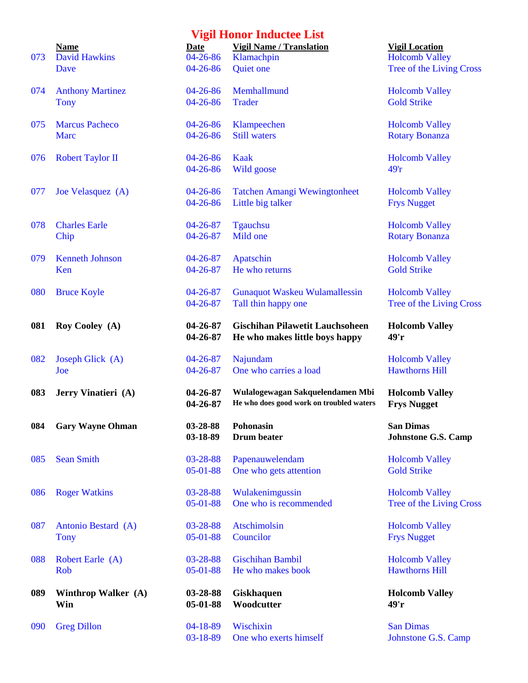| 073 | <b>Name</b><br><b>David Hawkins</b><br>Dave |
|-----|---------------------------------------------|
| 074 | <b>Anthony Martin</b><br><b>Tony</b>        |

- 
- 
- 
- 
- 
- 
- 
- 
- 
- 
- 
- 
- 
- 
- 
- 

| 073 | <b>Name</b><br><b>David Hawkins</b>    | Date<br>$04 - 26 - 86$           | <b>Vigil Name / Translation</b><br>Klamachpin                                | <b>Vigil Location</b><br><b>Holcomb Valley</b>  |
|-----|----------------------------------------|----------------------------------|------------------------------------------------------------------------------|-------------------------------------------------|
|     | Dave                                   | $04 - 26 - 86$                   | Quiet one                                                                    | Tree of the Living Cro                          |
| 074 | <b>Anthony Martinez</b><br><b>Tony</b> | $04 - 26 - 86$<br>$04 - 26 - 86$ | Memhallmund<br><b>Trader</b>                                                 | <b>Holcomb Valley</b><br><b>Gold Strike</b>     |
| 075 | <b>Marcus Pacheco</b><br><b>Marc</b>   | $04 - 26 - 86$<br>$04 - 26 - 86$ | Klampeechen<br><b>Still waters</b>                                           | <b>Holcomb Valley</b><br><b>Rotary Bonanza</b>  |
| 076 | <b>Robert Taylor II</b>                | $04 - 26 - 86$<br>$04 - 26 - 86$ | Kaak<br>Wild goose                                                           | <b>Holcomb Valley</b><br>49r                    |
| 077 | Joe Velasquez (A)                      | $04 - 26 - 86$<br>$04 - 26 - 86$ | <b>Tatchen Amangi Wewingtonheet</b><br>Little big talker                     | <b>Holcomb Valley</b><br><b>Frys Nugget</b>     |
| 078 | <b>Charles Earle</b><br>Chip           | $04 - 26 - 87$<br>$04 - 26 - 87$ | <b>Tgauchsu</b><br>Mild one                                                  | <b>Holcomb Valley</b><br><b>Rotary Bonanza</b>  |
| 079 | <b>Kenneth Johnson</b><br>Ken          | $04 - 26 - 87$<br>$04 - 26 - 87$ | Apatschin<br>He who returns                                                  | <b>Holcomb Valley</b><br><b>Gold Strike</b>     |
| 080 | <b>Bruce Koyle</b>                     | $04 - 26 - 87$<br>$04 - 26 - 87$ | <b>Gunaquot Waskeu Wulamallessin</b><br>Tall thin happy one                  | <b>Holcomb Valley</b><br>Tree of the Living Cro |
| 081 | Roy Cooley (A)                         | 04-26-87<br>04-26-87             | <b>Gischihan Pilawetit Lauchsoheen</b><br>He who makes little boys happy     | <b>Holcomb Valley</b><br>49'r                   |
| 082 | Joseph Glick (A)<br>Joe                | $04 - 26 - 87$<br>$04 - 26 - 87$ | Najundam<br>One who carries a load                                           | <b>Holcomb Valley</b><br><b>Hawthorns Hill</b>  |
| 083 | Jerry Vinatieri (A)                    | 04-26-87<br>04-26-87             | Wulalogewagan Sakquelendamen Mbi<br>He who does good work on troubled waters | <b>Holcomb Valley</b><br><b>Frys Nugget</b>     |
| 084 | <b>Gary Wayne Ohman</b>                | 03-28-88<br>03-18-89             | Pohonasin<br>Drum beater                                                     | <b>San Dimas</b><br><b>Johnstone G.S. Camp</b>  |
| 085 | <b>Sean Smith</b>                      | 03-28-88<br>$05-01-88$           | Papenauwelendam<br>One who gets attention                                    | <b>Holcomb Valley</b><br><b>Gold Strike</b>     |
| 086 | <b>Roger Watkins</b>                   | 03-28-88<br>05-01-88             | Wulakenimgussin<br>One who is recommended                                    | <b>Holcomb Valley</b><br>Tree of the Living Cro |
| 087 | Antonio Bestard (A)<br><b>Tony</b>     | 03-28-88<br>05-01-88             | <b>Atschimolsin</b><br>Councilor                                             | <b>Holcomb Valley</b><br><b>Frys Nugget</b>     |
| 088 | Robert Earle (A)<br>Rob                | 03-28-88<br>$05-01-88$           | <b>Gischihan Bambil</b><br>He who makes book                                 | <b>Holcomb Valley</b><br><b>Hawthorns Hill</b>  |
| 089 | Winthrop Walker (A)<br>Win             | 03-28-88<br>05-01-88             | <b>Giskhaquen</b><br>Woodcutter                                              | <b>Holcomb Valley</b><br>49'r                   |
| 090 | <b>Greg Dillon</b>                     | 04-18-89<br>03-18-89             | Wischixin<br>One who exerts himself                                          | <b>San Dimas</b><br>Johnstone G.S. Camp         |

e Living Cross

e Living Cross

e Living Cross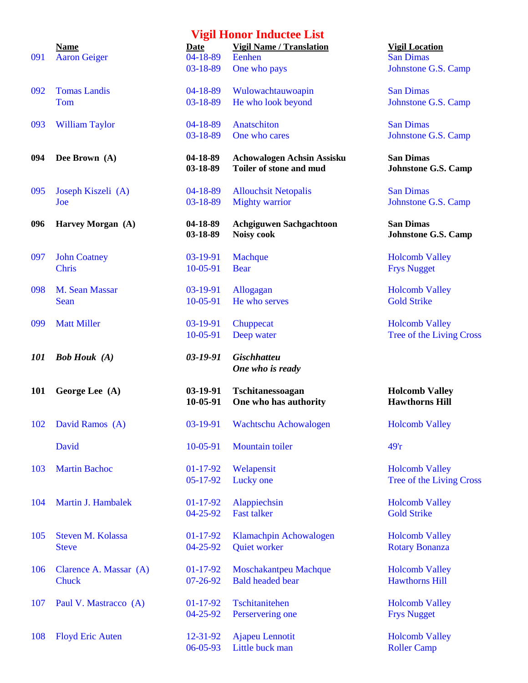|     |                         |                      | утди поног пішиські пім                      |                                                |
|-----|-------------------------|----------------------|----------------------------------------------|------------------------------------------------|
|     | <b>Name</b>             | <b>Date</b>          | <b>Vigil Name / Translation</b>              | <b>Vigil Location</b>                          |
| 091 | <b>Aaron Geiger</b>     | $04 - 18 - 89$       | Eenhen                                       | <b>San Dimas</b>                               |
|     |                         | 03-18-89             | One who pays                                 | Johnstone G.S. Camp                            |
| 092 | <b>Tomas Landis</b>     | $04-18-89$           | Wulowachtauwoapin                            | <b>San Dimas</b>                               |
|     | Tom                     | 03-18-89             | He who look beyond                           | Johnstone G.S. Camp                            |
| 093 | <b>William Taylor</b>   | $04 - 18 - 89$       | Anatschiton                                  | <b>San Dimas</b>                               |
|     |                         | 03-18-89             | One who cares                                | Johnstone G.S. Camp                            |
| 094 | Dee Brown (A)           | 04-18-89             | <b>Achowalogen Achsin Assisku</b>            | <b>San Dimas</b>                               |
|     |                         | 03-18-89             | Toiler of stone and mud                      | <b>Johnstone G.S. Camp</b>                     |
| 095 | Joseph Kiszeli (A)      | 04-18-89             | <b>Allouchsit Netopalis</b>                  | <b>San Dimas</b>                               |
|     | Joe                     | 03-18-89             | <b>Mighty warrior</b>                        | Johnstone G.S. Camp                            |
| 096 | Harvey Morgan (A)       | 04-18-89<br>03-18-89 | <b>Achgiguwen Sachgachtoon</b><br>Noisy cook | <b>San Dimas</b><br><b>Johnstone G.S. Camp</b> |
| 097 | <b>John Coatney</b>     | 03-19-91             | Machque                                      | <b>Holcomb Valley</b>                          |
|     | <b>Chris</b>            | 10-05-91             | <b>Bear</b>                                  | <b>Frys Nugget</b>                             |
| 098 | M. Sean Massar          | 03-19-91             | Allogagan                                    | <b>Holcomb Valley</b>                          |
|     | Sean                    | 10-05-91             | He who serves                                | <b>Gold Strike</b>                             |
| 099 | <b>Matt Miller</b>      | 03-19-91             | Chuppecat                                    | <b>Holcomb Valley</b>                          |
|     |                         | 10-05-91             | Deep water                                   | Tree of the Living Cro                         |
| 101 | <b>Bob Houk</b> (A)     | $03 - 19 - 91$       | <b>Gischhatteu</b><br>One who is ready       |                                                |
| 101 | George Lee (A)          | 03-19-91<br>10-05-91 | Tschitanessoagan<br>One who has authority    | <b>Holcomb Valley</b><br><b>Hawthorns Hill</b> |
|     | 102 David Ramos (A)     |                      | 03-19-91 Wachtschu Achowalogen               | <b>Holcomb Valley</b>                          |
|     | David                   | 10-05-91             | <b>Mountain toiler</b>                       | 49r                                            |
| 103 | <b>Martin Bachoc</b>    | $01-17-92$           | Welapensit                                   | <b>Holcomb Valley</b>                          |
|     |                         | 05-17-92             | Lucky one                                    | Tree of the Living Cro                         |
| 104 | Martin J. Hambalek      | $01-17-92$           | Alappiechsin                                 | <b>Holcomb Valley</b>                          |
|     |                         | 04-25-92             | <b>Fast talker</b>                           | <b>Gold Strike</b>                             |
| 105 | Steven M. Kolassa       | $01-17-92$           | Klamachpin Achowalogen                       | <b>Holcomb Valley</b>                          |
|     | <b>Steve</b>            | $04 - 25 - 92$       | Quiet worker                                 | <b>Rotary Bonanza</b>                          |
| 106 | Clarence A. Massar (A)  | $01-17-92$           | Moschakantpeu Machque                        | <b>Holcomb Valley</b>                          |
|     | Chuck                   | $07 - 26 - 92$       | <b>Bald headed bear</b>                      | <b>Hawthorns Hill</b>                          |
| 107 | Paul V. Mastracco (A)   | $01-17-92$           | Tschitanitehen                               | <b>Holcomb Valley</b>                          |
|     |                         | $04 - 25 - 92$       | Perservering one                             | <b>Frys Nugget</b>                             |
| 108 | <b>Floyd Eric Auten</b> | 12-31-92             | <b>Ajapeu Lennotit</b>                       | <b>Holcomb Valley</b>                          |
|     |                         |                      |                                              |                                                |

# of the Sample of Tohnstone G.S. Camp **094 Dee Brown (A) 04-18-89 Achowalogen Achsin Assisku San Dimas 13-18-89 <b>To S** *Johnstone G.S. Camp* Frior Johnstone G.S. Camp **986 Construction San Dimas 03-18-89 Noisy cook Johnstone G.S. Camp** Holcomb Valley **Frys Nugget**

> Holcomb Valley Tree of the Living Cross

#### **1011 <b>Except** Except Executed Lee **Holcomb Valley 12-10-10-10-05-01-10-05-01-2015 Hawthorns Hill**

Holcomb Valley Tree of the Living Cross

notit Holcomb Valley 06-05-93 Little buck man Roller Camp

## **Vigil Honor Inductee List**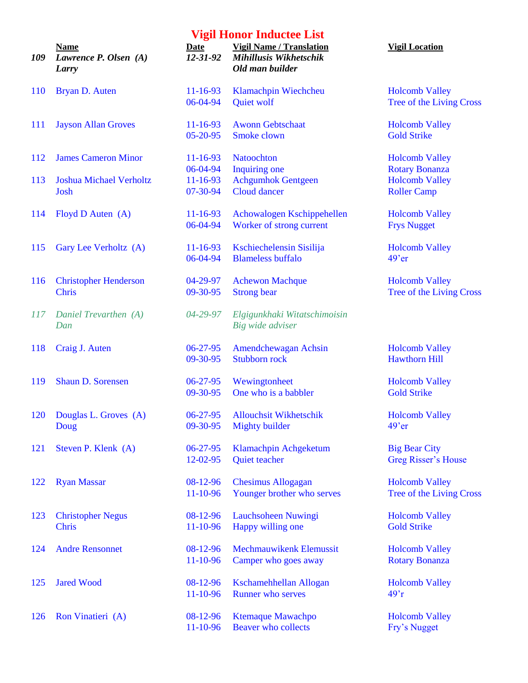| 109 | <b>Name</b><br>Lawrence P. Olsen (A)<br>Larry |
|-----|-----------------------------------------------|
|     | 110 Bryan D. Auten                            |
| 111 | <b>Jayson Allan Groves</b>                    |
|     | 112 James Cameron Minor                       |
| 113 | <b>Joshua Michael Verholtz</b><br>Josh        |
|     | 114 Floyd D Auten (A)                         |
| 115 | Gary Lee Verholtz (A)                         |
| 116 | <b>Christopher Henderson</b><br><b>Chris</b>  |
|     | 117 Daniel Trevarthen (A)<br>Dan              |
|     | 118 Craig J. Auten                            |
|     | 119 Shaun D. Sorensen                         |
| 120 | Douglas L. Groves (A)<br>Doug                 |
|     | 121 Steven P. Klenk (A)                       |
|     | 122 Ryan Massar                               |
| 123 | <b>Christopher Negus</b><br><b>Chris</b>      |
|     | 124 Andre Rensonnet                           |
|     | 125 Jared Wood                                |
|     | 126 Ron Vinatieri (A)                         |

| 109 | <b>Name</b><br>Lawrence P. Olsen (A)<br>Larry | <b>Date</b><br>$12 - 31 - 92$ | <b>Vigil Name / Translation</b><br>Mihillusis Wikhetschik<br>Old man builder | <b>Vigil Location</b>      |
|-----|-----------------------------------------------|-------------------------------|------------------------------------------------------------------------------|----------------------------|
| 110 | Bryan D. Auten                                | $11 - 16 - 93$                | Klamachpin Wiechcheu                                                         | <b>Holcomb Valley</b>      |
|     |                                               | 06-04-94                      | Quiet wolf                                                                   | Tree of the Living Cross   |
| 111 | <b>Jayson Allan Groves</b>                    | $11 - 16 - 93$                | <b>Awonn Gebtschaat</b>                                                      | <b>Holcomb Valley</b>      |
|     |                                               | $05 - 20 - 95$                | Smoke clown                                                                  | <b>Gold Strike</b>         |
| 112 | <b>James Cameron Minor</b>                    | $11 - 16 - 93$                | Natoochton                                                                   | <b>Holcomb Valley</b>      |
|     |                                               | 06-04-94                      | Inquiring one                                                                | <b>Rotary Bonanza</b>      |
| 113 | <b>Joshua Michael Verholtz</b>                | $11 - 16 - 93$                | <b>Achgumhok Gentgeen</b>                                                    | <b>Holcomb Valley</b>      |
|     | Josh                                          | 07-30-94                      | Cloud dancer                                                                 | <b>Roller Camp</b>         |
| 114 | Floyd D Auten (A)                             | $11 - 16 - 93$                | Achowalogen Kschippehellen                                                   | <b>Holcomb Valley</b>      |
|     |                                               | 06-04-94                      | Worker of strong current                                                     | <b>Frys Nugget</b>         |
| 115 | Gary Lee Verholtz (A)                         | $11 - 16 - 93$                | Kschiechelensin Sisilija                                                     | <b>Holcomb Valley</b>      |
|     |                                               | 06-04-94                      | <b>Blameless buffalo</b>                                                     | $49'$ er                   |
| 116 | <b>Christopher Henderson</b>                  | 04-29-97                      | <b>Achewon Machque</b>                                                       | <b>Holcomb Valley</b>      |
|     | <b>Chris</b>                                  | 09-30-95                      | <b>Strong bear</b>                                                           | Tree of the Living Cross   |
| 117 | Daniel Trevarthen (A)                         | 04-29-97                      | Elgigunkhaki Witatschimoisin                                                 |                            |
|     | Dan                                           |                               | Big wide adviser                                                             |                            |
| 118 | Craig J. Auten                                | $06 - 27 - 95$                | Amendchewagan Achsin                                                         | <b>Holcomb Valley</b>      |
|     |                                               | 09-30-95                      | Stubborn rock                                                                | <b>Hawthorn Hill</b>       |
| 119 | Shaun D. Sorensen                             | $06 - 27 - 95$                | Wewingtonheet                                                                | <b>Holcomb Valley</b>      |
|     |                                               | 09-30-95                      | One who is a babbler                                                         | <b>Gold Strike</b>         |
| 120 | Douglas L. Groves (A)                         | $06 - 27 - 95$                | <b>Allouchsit Wikhetschik</b>                                                | <b>Holcomb Valley</b>      |
|     | Doug                                          | 09-30-95                      | Mighty builder                                                               | $49'$ er                   |
| 121 | Steven P. Klenk (A)                           | $06 - 27 - 95$                | Klamachpin Achgeketum                                                        | <b>Big Bear City</b>       |
|     |                                               | 12-02-95                      | Quiet teacher                                                                | <b>Greg Risser's House</b> |
| 122 | <b>Ryan Massar</b>                            | 08-12-96                      | <b>Chesimus Allogagan</b>                                                    | <b>Holcomb Valley</b>      |
|     |                                               | 11-10-96                      | Younger brother who serves                                                   | Tree of the Living Cross   |
| 123 | <b>Christopher Negus</b>                      | 08-12-96                      | Lauchsoheen Nuwingi                                                          | <b>Holcomb Valley</b>      |
|     | Chris                                         | 11-10-96                      | Happy willing one                                                            | <b>Gold Strike</b>         |
| 124 | <b>Andre Rensonnet</b>                        | 08-12-96                      | Mechmauwikenk Elemussit                                                      | <b>Holcomb Valley</b>      |
|     |                                               | 11-10-96                      | Camper who goes away                                                         | <b>Rotary Bonanza</b>      |
| 125 | <b>Jared Wood</b>                             | 08-12-96                      | Kschamehhellan Allogan                                                       | <b>Holcomb Valley</b>      |
|     |                                               | 11-10-96                      | <b>Runner</b> who serves                                                     | $497$ r                    |
| 126 | Ron Vinatieri (A)                             | 08-12-96                      | <b>Ktemaque Mawachpo</b>                                                     | <b>Holcomb Valley</b>      |
|     |                                               | 11-10-96                      | Beaver who collects                                                          | Fry's Nugget               |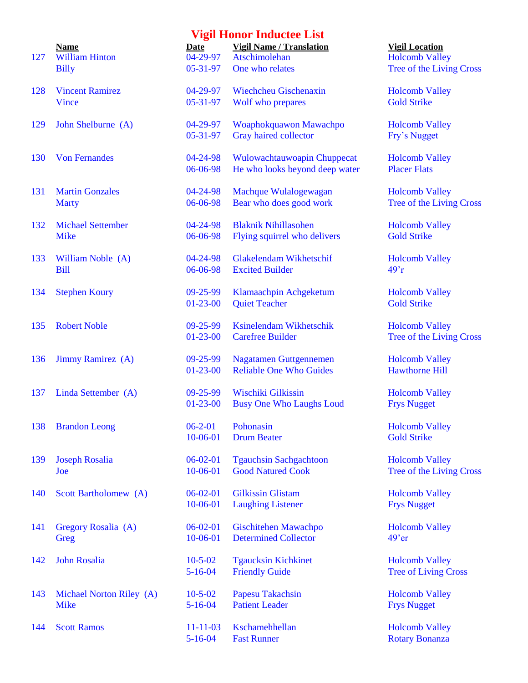| 127 | <b>Name</b><br><b>William Hinton</b>    | Date<br>04-29-97        | <b>Vigil Name / Translation</b><br>Atschimolehan | <b>Vigil</b><br>Holco    |
|-----|-----------------------------------------|-------------------------|--------------------------------------------------|--------------------------|
|     | <b>Billy</b>                            | $05 - 31 - 97$          | One who relates                                  | <b>Tree</b>              |
| 128 | <b>Vincent Ramirez</b>                  | 04-29-97                | Wiechcheu Gischenaxin                            | Holco                    |
|     | Vince                                   | $05 - 31 - 97$          | Wolf who prepares                                | Gold                     |
| 129 | John Shelburne (A)                      | 04-29-97                | Woaphokquawon Mawachpo                           | Holco                    |
|     |                                         | 05-31-97                | Gray haired collector                            | Fry's                    |
| 130 | <b>Von Fernandes</b>                    | 04-24-98                | Wulowachtauwoapin Chuppecat                      | Holco                    |
|     |                                         | 06-06-98                | He who looks beyond deep water                   | Place                    |
| 131 | <b>Martin Gonzales</b>                  | 04-24-98                | Machque Wulalogewagan                            | Holco                    |
|     | <b>Marty</b>                            | 06-06-98                | Bear who does good work                          | <b>Tree</b>              |
| 132 | <b>Michael Settember</b>                | 04-24-98                | <b>Blaknik Nihillasohen</b>                      | Holco                    |
|     | <b>Mike</b>                             | 06-06-98                | Flying squirrel who delivers                     | Gold                     |
| 133 | William Noble (A)                       | 04-24-98                | Glakelendam Wikhetschif                          | Holco                    |
|     | <b>Bill</b>                             | 06-06-98                | <b>Excited Builder</b>                           | 49 <sup>°</sup> r        |
| 134 | <b>Stephen Koury</b>                    | $09 - 25 - 99$          | Klamaachpin Achgeketum                           | Holco                    |
|     |                                         | $01-23-00$              | <b>Quiet Teacher</b>                             | Gold                     |
| 135 | <b>Robert Noble</b>                     | 09-25-99                | Ksinelendam Wikhetschik                          | Holco                    |
|     |                                         | $01-23-00$              | <b>Carefree Builder</b>                          | <b>Tree</b>              |
| 136 | Jimmy Ramirez (A)                       | $09 - 25 - 99$          | <b>Nagatamen Guttgennemen</b>                    | Holco                    |
|     |                                         | $01 - 23 - 00$          | <b>Reliable One Who Guides</b>                   | Hawt                     |
| 137 | Linda Settember (A)                     | $09 - 25 - 99$          | Wischiki Gilkissin                               | Holco                    |
|     |                                         | $01-23-00$              | <b>Busy One Who Laughs Loud</b>                  | <b>Frys</b>              |
|     | 138 Brandon Leong                       | $06 - 2 - 01$           | Pohonasin                                        | Holco                    |
|     |                                         | 10-06-01                | <b>Drum Beater</b>                               | Gold                     |
| 139 | <b>Joseph Rosalia</b>                   | $06-02-01$              | <b>Tgauchsin Sachgachtoon</b>                    | Holco                    |
|     | Joe                                     | 10-06-01                | <b>Good Natured Cook</b>                         | <b>Tree</b>              |
| 140 | Scott Bartholomew (A)                   | $06-02-01$              | <b>Gilkissin Glistam</b>                         | Holco                    |
|     |                                         | 10-06-01                | <b>Laughing Listener</b>                         | Frys                     |
| 141 | Gregory Rosalia (A)                     | $06-02-01$              | Gischitehen Mawachpo                             | Holco                    |
|     | Greg                                    | 10-06-01                | <b>Determined Collector</b>                      | $49'$ er                 |
| 142 | <b>John Rosalia</b>                     | $10 - 5 - 02$           | <b>Tgaucksin Kichkinet</b>                       | Holco                    |
|     |                                         | $5 - 16 - 04$           | <b>Friendly Guide</b>                            | <b>Tree</b>              |
| 143 |                                         | $10 - 5 - 02$           |                                                  |                          |
|     | Michael Norton Riley (A)<br><b>Mike</b> | $5 - 16 - 04$           | <b>Papesu Takachsin</b><br><b>Patient Leader</b> | Holco<br><b>Frys</b>     |
|     |                                         |                         |                                                  |                          |
| 144 | <b>Scott Ramos</b>                      | $11 - 11 - 03$<br>5.16M | Kschamehhellan<br>$E_{\alpha\alpha}$ Dunnar      | Holco<br>D <sub>of</sub> |

| <b>Date</b>           | <b>Vigil Name / Translation</b> |
|-----------------------|---------------------------------|
| $\overline{)4-29-97}$ | <b>Atschimolehan</b>            |
| 05-31-97              | One who relates                 |
| 04-29-97              | <b>Wiechcheu Gischenaxin</b>    |
| 05-31-97              | Wolf who prepares               |
| 04-29-97              | Woaphokquawon Mawachpo          |
| 05-31-97              | <b>Gray haired collector</b>    |
| 04-24-98              | Wulowachtauwoapin Chuppecat     |
| $06 - 06 - 98$        | He who looks beyond deep water  |
|                       |                                 |
| 04-24-98              | Machque Wulalogewagan           |
| 06-06-98              | Bear who does good work         |
| 04-24-98              | <b>Blaknik Nihillasohen</b>     |
| 06-06-98              | Flying squirrel who delivers    |
|                       |                                 |
| 04-24-98              | <b>Glakelendam Wikhetschif</b>  |
| 06-06-98              | <b>Excited Builder</b>          |
| 09-25-99              | Klamaachpin Achgeketum          |
| 01-23-00              | <b>Quiet Teacher</b>            |
|                       |                                 |
| 09-25-99              | <b>Ksinelendam Wikhetschik</b>  |
| 01-23-00              | <b>Carefree Builder</b>         |
| 09-25-99              | <b>Nagatamen Guttgennemen</b>   |
| 01-23-00              | <b>Reliable One Who Guides</b>  |
|                       |                                 |
| 09-25-99              | Wischiki Gilkissin              |
| 01-23-00              | <b>Busy One Who Laughs Loud</b> |
| $06 - 2 - 01$         | Pohonasin                       |
| 10-06-01              | <b>Drum Beater</b>              |
|                       |                                 |
| $06 - 02 - 01$        | <b>Tgauchsin Sachgachtoon</b>   |
| $10 - 06 - 01$        | <b>Good Natured Cook</b>        |
| $06 - 02 - 01$        | <b>Gilkissin Glistam</b>        |
| 10-06-01              | <b>Laughing Listener</b>        |
|                       |                                 |
| $06 - 02 - 01$        | Gischitehen Mawachpo            |
| 10-06-01              | <b>Determined Collector</b>     |
| 10-5-02               | <b>Tgaucksin Kichkinet</b>      |
| $5 - 16 - 04$         | <b>Friendly Guide</b>           |
|                       |                                 |
| 10-5-02               | <b>Papesu Takachsin</b>         |
| $5 - 16 - 04$         | <b>Patient Leader</b>           |
| 11-11-03              | Kschamehhellan                  |
|                       |                                 |

**<u>Vigil Location</u>** Holcomb Valley Tree of the Living Cross

Holcomb Valley Gold Strike

Holcomb Valley Fry's Nugget

Holcomb Valley Placer Flats

Holcomb Valley Tree of the Living Cross

Holcomb Valley Gold Strike

Holcomb Valley

Holcomb Valley Gold Strike

Holcomb Valley Tree of the Living Cross

Holcomb Valley Hawthorne Hill

Holcomb Valley **Frys Nugget** 

Holcomb Valley **Gold Strike** 

Holcomb Valley Tree of the Living Cross

Holcomb Valley **Frys Nugget** 

Holcomb Valley

Holcomb Valley Tree of Living Cross

Holcomb Valley **Frys Nugget** 

Holcomb Valley 5-16-04 Fast Runner Rotary Bonanza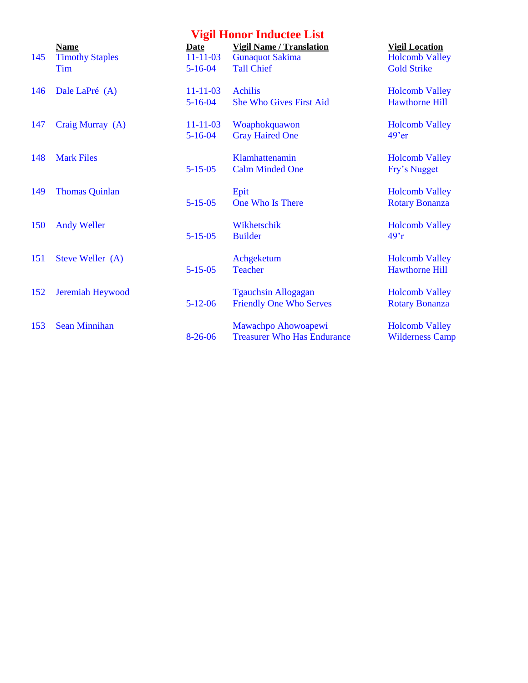|            | <b>Vigil Honor Inductee List</b>             |                                         |                                                                                |                                                                      |  |  |  |  |
|------------|----------------------------------------------|-----------------------------------------|--------------------------------------------------------------------------------|----------------------------------------------------------------------|--|--|--|--|
| 145        | Name<br><b>Timothy Staples</b><br><b>Tim</b> | Date<br>$11 - 11 - 03$<br>$5 - 16 - 04$ | <b>Vigil Name / Translation</b><br><b>Gunaquot Sakima</b><br><b>Tall Chief</b> | <b>Vigil Location</b><br><b>Holcomb Valley</b><br><b>Gold Strike</b> |  |  |  |  |
| 146        | Dale LaPré (A)                               | $11 - 11 - 03$<br>$5 - 16 - 04$         | <b>Achilis</b><br><b>She Who Gives First Aid</b>                               | <b>Holcomb Valley</b><br><b>Hawthorne Hill</b>                       |  |  |  |  |
| 147        | Craig Murray (A)                             | $11 - 11 - 03$<br>$5 - 16 - 04$         | Woaphokquawon<br><b>Gray Haired One</b>                                        | <b>Holcomb Valley</b><br>$49'$ er                                    |  |  |  |  |
| 148        | <b>Mark Files</b>                            | $5 - 15 - 05$                           | Klamhattenamin<br><b>Calm Minded One</b>                                       | <b>Holcomb Valley</b><br>Fry's Nugget                                |  |  |  |  |
| 149        | <b>Thomas Quinlan</b>                        | $5 - 15 - 05$                           | Epit<br>One Who Is There                                                       | <b>Holcomb Valley</b><br><b>Rotary Bonanza</b>                       |  |  |  |  |
| <b>150</b> | <b>Andy Weller</b>                           | $5 - 15 - 05$                           | Wikhetschik<br><b>Builder</b>                                                  | <b>Holcomb Valley</b><br>$497$ r                                     |  |  |  |  |
| 151        | Steve Weller (A)                             | $5 - 15 - 05$                           | Achgeketum<br><b>Teacher</b>                                                   | <b>Holcomb Valley</b><br><b>Hawthorne Hill</b>                       |  |  |  |  |
| 152        | <b>Jeremiah Heywood</b>                      | $5 - 12 - 06$                           | <b>Tgauchsin Allogagan</b><br><b>Friendly One Who Serves</b>                   | <b>Holcomb Valley</b><br><b>Rotary Bonanza</b>                       |  |  |  |  |
| 153        | <b>Sean Minnihan</b>                         | $8-26-06$                               | Mawachpo Ahowoapewi<br><b>Treasurer Who Has Endurance</b>                      | <b>Holcomb Valley</b><br><b>Wilderness Camp</b>                      |  |  |  |  |